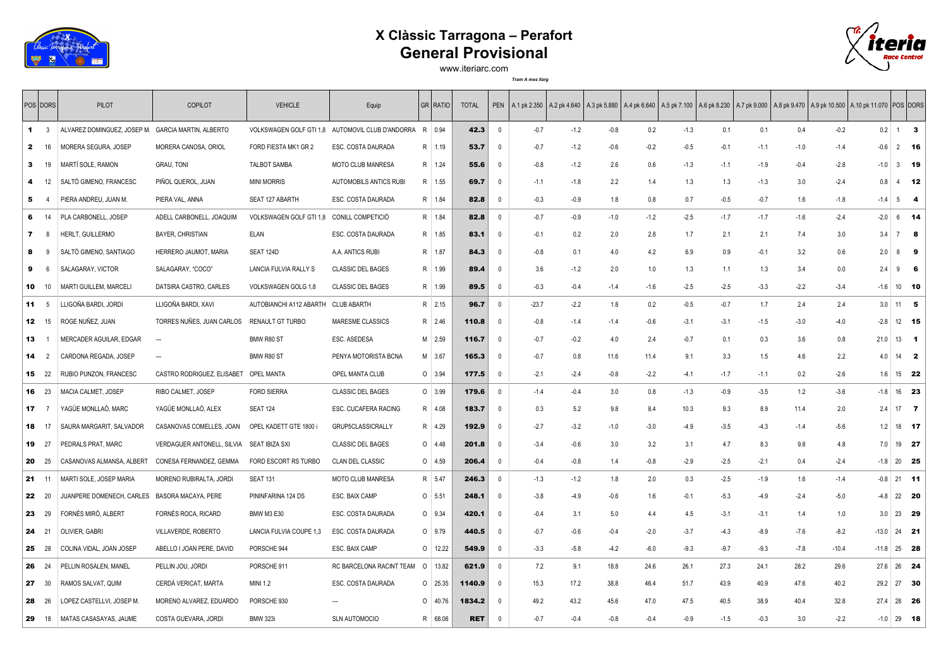

## **X Clàssic Tarragona – Perafort General Provisional**



www.iteriarc.com

*Tram A mes llarg*

|              | <b>POS DORS</b>                  | <b>PILOT</b>                                       | <b>COPILOT</b>                        | <b>VEHICLE</b>                            | Equip                                                   | GR RATIO         | <b>TOTAL</b> |                          | PEN A.1 pk 2.350 A.2 pk 4.640 A.3 pk 5.880 A.4 pk 6.640 A.5 pk 7.100 A.6 pk 8.230 A.7 pk 9.000 A.8 pk 9.470 A.9 pk 10.500 A.10 pk 11.070 POS DORS |        |        |        |        |        |        |        |         |         |              |                |              |
|--------------|----------------------------------|----------------------------------------------------|---------------------------------------|-------------------------------------------|---------------------------------------------------------|------------------|--------------|--------------------------|---------------------------------------------------------------------------------------------------------------------------------------------------|--------|--------|--------|--------|--------|--------|--------|---------|---------|--------------|----------------|--------------|
|              | $\blacksquare$<br>$\overline{3}$ | ALVAREZ DOMINGUEZ, JOSEP M. GARCIA MARTIN, ALBERTO |                                       |                                           | VOLKSWAGEN GOLF GTI 1,8 AUTOMOVIL CLUB D'ANDORRA R 0.94 |                  | 42.3         | $\overline{\mathbf{0}}$  | $-0.7$                                                                                                                                            | $-1.2$ | $-0.8$ | 0.2    | $-1.3$ | 0.1    | 0.1    | 0.4    | $-0.2$  |         | 0.2          | $\overline{1}$ | $\mathbf{3}$ |
| $\mathbf{2}$ | 16                               | MORERA SEGURA, JOSEP                               | MORERA CANOSA, ORIOL                  | FORD FIESTA MK1 GR 2                      | ESC. COSTA DAURADA                                      | R 1.19           | 53.7         | - 0                      | $-0.7$                                                                                                                                            | $-1.2$ | $-0.6$ | $-0.2$ | $-0.5$ | $-0.1$ | $-1.1$ | $-1.0$ | $-1.4$  |         | $-0.6$       | $2$ 16         |              |
| 3            | 19                               | MARTÍ SOLE, RAMON                                  | <b>GRAU, TONI</b>                     | <b>TALBOT SAMBA</b>                       | <b>MOTO CLUB MANRESA</b>                                | R 1.24           | 55.6         | - 0                      | $-0.8$                                                                                                                                            | $-1.2$ | 2.6    | 0.6    | $-1.3$ | $-1.1$ | $-1.9$ | $-0.4$ | $-2.8$  | $-1.0$  |              | $3$ 19         |              |
| 4            | 12                               | SALTÓ GIMENO, FRANCESC                             | PIÑOL QUEROL, JUAN                    | <b>MINI MORRIS</b>                        | AUTOMOBILS ANTICS RUBI                                  | R 1.55           | 69.7         | $\overline{\phantom{0}}$ | $-1.1$                                                                                                                                            | $-1.8$ | 2.2    | 1.4    | 1.3    | 1.3    | $-1.3$ | 3.0    | $-2.4$  | 0.8     |              | $4$ 12         |              |
| 5            |                                  | PIERA ANDREU, JUAN M.                              | PIERA VAL, ANNA                       | SEAT 127 ABARTH                           | ESC. COSTA DAURADA                                      | R   1.84         | 82.8         | $\overline{0}$           | $-0.3$                                                                                                                                            | $-0.9$ | 1.8    | 0.8    | 0.7    | $-0.5$ | $-0.7$ | 1.6    | $-1.8$  | -1.4    | 5            | -4             |              |
|              | 6<br>14                          | PLA CARBONELL, JOSEP                               | ADELL CARBONELL, JOAQUIM              | VOLKSWAGEN GOLF GTI 1,8 CONILL COMPETICIÓ |                                                         | R   1.84         | 82.8         | $\overline{\mathbf{0}}$  | $-0.7$                                                                                                                                            | $-0.9$ | $-1.0$ | $-1.2$ | $-2.5$ | $-1.7$ | $-1.7$ | $-1.6$ | $-2.4$  |         | $-2.0$<br>6  | - 14           |              |
| 7            | -8                               | HERLT, GUILLERMO                                   | <b>BAYER, CHRISTIAN</b>               | <b>ELAN</b>                               | ESC. COSTA DAURADA                                      | R   1.85         | 83.1         | $\overline{\mathbf{0}}$  | $-0.1$                                                                                                                                            | 0.2    | 2.0    | 2.8    | 1.7    | 2.1    | 2.1    | 7.4    | 3.0     | 3.4     | 7            | -8             |              |
| 8            | -9                               | SALTÓ GIMENO, SANTIAGO                             | HERRERO JAUMOT, MARIA                 | SEAT 124D                                 | A.A. ANTICS RUBI                                        | R   1.87         | 84.3         | $\overline{0}$           | $-0.8$                                                                                                                                            | 0.1    | 4.0    | 4.2    | 6.9    | 0.9    | $-0.1$ | 3.2    | 0.6     | 2.0     | 8            | -9             |              |
| 9            | 6                                | SALAGARAY, VICTOR                                  | SALAGARAY, "COCO"                     | LANCIA FULVIA RALLY S                     | <b>CLASSIC DEL BAGES</b>                                | R   1.99         | 89.4         | $\overline{\mathbf{0}}$  | 3.6                                                                                                                                               | $-1.2$ | 2.0    | 1.0    | 1.3    | 1.1    | 1.3    | 3.4    | 0.0     | 2.4     | 9            | - 6            |              |
|              | $10 \t 10$                       | <b>MARTI GUILLEM, MARCELI</b>                      | DATSIRA CASTRO, CARLES                | VOLKSWAGEN GOLG 1,8                       | <b>CLASSIC DEL BAGES</b>                                | R 1.99           | 89.5         | $\overline{0}$           | $-0.3$                                                                                                                                            | $-0.4$ | $-1.4$ | $-1.6$ | $-2.5$ | $-2.5$ | $-3.3$ | $-2.2$ | $-3.4$  |         | $-1.6$       | $10$ 10        |              |
|              | 11<br>- 5                        | LLIGOÑA BARDI, JORDI                               | LLIGOÑA BARDI, XAVI                   | AUTOBIANCHI A112 ABARTH CLUB ABARTH       |                                                         | R 2.15           | 96.7         | $\overline{\mathbf{0}}$  | $-23.7$                                                                                                                                           | $-2.2$ | 1.8    | 0.2    | $-0.5$ | $-0.7$ | 1.7    | 2.4    | 2.4     |         | 3.0          | 11<br>-5       |              |
|              | $12 \t15$                        | ROGE NUÑEZ, JUAN                                   | TORRES NUÑES, JUAN CARLOS             | RENAULT GT TURBO                          | MARESME CLASSICS                                        | R 2.46           | 110.8        | $\overline{\mathbf{0}}$  | $-0.8$                                                                                                                                            | $-1.4$ | $-1.4$ | $-0.6$ | $-3.1$ | $-3.1$ | $-1.5$ | $-3.0$ | $-4.0$  |         | $-2.8$       | 12 15          |              |
|              | 13                               | MERCADER AGUILAR, EDGAR                            | $\sim$                                | BMW R80 ST                                | ESC. ASEDESA                                            | $M$ 2.59         | 116.7        | $\overline{\mathbf{0}}$  | $-0.7$                                                                                                                                            | $-0.2$ | 4.0    | 2.4    | $-0.7$ | 0.1    | 0.3    | 3.6    | 0.8     | 21.0    | 13           | $\blacksquare$ |              |
|              | 14<br>$\overline{2}$             | CARDONA REGADA, JOSEP                              |                                       | BMW R80 ST                                | PENYA MOTORISTA BCNA                                    | M 3.67           | 165.3        | $\overline{\mathbf{0}}$  | $-0.7$                                                                                                                                            | 0.8    | 11.6   | 11.4   | 9.1    | 3.3    | 1.5    | 4.6    | 2.2     |         | 4.0          | $14$ 2         |              |
|              | 15 22                            | RUBIO PUNZON, FRANCESC                             | CASTRO RODRIGUEZ, ELISABET OPEL MANTA |                                           | OPEL MANTA CLUB                                         | $0 \mid 3.94$    | 177.5        | 0                        | $-2.1$                                                                                                                                            | $-2.4$ | $-0.8$ | $-2.2$ | $-4.1$ | $-1.7$ | $-1.1$ | 0.2    | $-2.6$  |         | 1.6          | 15 22          |              |
|              | 16 23                            | MACIA CALMET, JOSEP                                | RIBO CALMET, JOSEP                    | <b>FORD SIERRA</b>                        | <b>CLASSIC DEL BAGES</b>                                | $0 \mid 3.99$    | 179.6        | $\overline{\mathbf{0}}$  | $-1.4$                                                                                                                                            | $-0.4$ | 3.0    | 0.8    | $-1.3$ | $-0.9$ | $-3.5$ | 1.2    | $-3.6$  | $-1.8$  |              | 16 23          |              |
|              | $17 \quad 7$                     | YAGÜE MONLLAÓ, MARC                                | YAGÜE MONLLAÓ, ALEX                   | <b>SEAT 124</b>                           | ESC. CUCAFERA RACING                                    | R 4.08           | 183.7        | - 0                      | 0.3                                                                                                                                               | 5.2    | 9.8    | 8.4    | 10.3   | 9.3    | 8.9    | 11.4   | 2.0     |         | 2.4          | $17 \quad 7$   |              |
|              | 18 17                            | SAURA MARGARIT, SALVADOR                           | CASANOVAS COMELLES, JOAN              | OPEL KADETT GTE 1800 i                    | GRUP5CLASSICRALLY                                       | R 4.29           | 192.9        | - 0                      | $-2.7$                                                                                                                                            | $-3.2$ | $-1.0$ | $-3.0$ | $-4.9$ | $-3.5$ | $-4.3$ | $-1.4$ | $-5.6$  |         | 1.2          | 18 17          |              |
|              | 19 27                            | PEDRALS PRAT, MARC                                 | VERDAGUER ANTONELL, SILVIA            | <b>SEAT IBIZA SXI</b>                     | <b>CLASSIC DEL BAGES</b>                                | $0 \mid 4.48$    | 201.8        | $\overline{\mathbf{0}}$  | $-3.4$                                                                                                                                            | $-0.6$ | 3.0    | 3.2    | 3.1    | 4.7    | 8.3    | 9.8    | 4.8     |         | 19<br>7.0    | 27             |              |
|              | <b>20</b> 25                     | CASANOVAS ALMANSA, ALBERT                          | CONESA FERNANDEZ, GEMMA               | FORD ESCORT RS TURBO                      | CLAN DEL CLASSIC                                        | $0 \mid 4.59$    | 206.4        | $\overline{0}$           | $-0.4$                                                                                                                                            | $-0.8$ | 1.4    | $-0.8$ | $-2.9$ | $-2.5$ | $-2.1$ | 0.4    | $-2.4$  |         | $-1.8$       | 20 25          |              |
|              | $21 \t11$                        | MARTI SOLE, JOSEP MARIA                            | MORENO RUBIRALTA, JORDI               | <b>SEAT 131</b>                           | MOTO CLUB MANRESA                                       | R 5.47           | 246.3        | - 0                      | $-1.3$                                                                                                                                            | $-1.2$ | 1.8    | 2.0    | 0.3    | $-2.5$ | $-1.9$ | 1.6    | $-1.4$  |         | $-0.8$       | $21$ 11        |              |
|              | 22 20                            | JUANPERE DOMENECH, CARLES BASORA MACAYA, PERE      |                                       | PININFARINA 124 DS                        | ESC. BAIX CAMP                                          | $0 \quad 5.51$   | 248.1        | 0                        | $-3.8$                                                                                                                                            | $-4.9$ | $-0.6$ | 1.6    | $-0.1$ | $-5.3$ | $-4.9$ | $-2.4$ | $-5.0$  |         | $-4.8$       | 22 20          |              |
|              | 23 29                            | FORNÉS MIRÓ, ALBERT                                | FORNÉS ROCA, RICARD                   | <b>BMW M3 E30</b>                         | ESC. COSTA DAURADA                                      | $0$ 9.34         | 420.1        | $\overline{\mathbf{0}}$  | $-0.4$                                                                                                                                            | 3.1    | 5.0    | 4.4    | 4.5    | $-3.1$ | $-3.1$ | 1.4    | 1.0     |         | 3.0          | 23 29          |              |
|              | 24 21                            | OLIVIER, GABRI                                     | VILLAVERDE, ROBERTO                   | LANCIA FULVIA COUPE 1,3                   | ESC. COSTA DAURADA                                      | $0$ 9.79         | 440.5        | - 0                      | $-0.7$                                                                                                                                            | $-0.6$ | $-0.4$ | $-2.0$ | $-3.7$ | $-4.3$ | $-8.9$ | $-7.6$ | $-8.2$  | $-13.0$ |              | 24 21          |              |
|              | <b>25</b> 28                     | COLINA VIDAL, JOAN JOSEP                           | ABELLO I JOAN PERE, DAVID             | PORSCHE 944                               | ESC. BAIX CAMP                                          | $\circ$<br>12.22 | 549.9        | - 0                      | $-3.3$                                                                                                                                            | $-5.8$ | $-4.2$ | $-6.0$ | $-9.3$ | $-9.7$ | $-9.3$ | $-7.8$ | $-10.4$ | $-11.8$ |              | 25 28          |              |
|              | <b>26</b> 24                     | PELLIN ROSALEN, MANEL                              | PELLIN JOU, JORDI                     | PORSCHE 911                               | RC BARCELONA RACINT TEAM                                | $\circ$<br>13.82 | 621.9        | - 0                      | 7.2                                                                                                                                               | 9.1    | 18.8   | 24.6   | 26.1   | 27.3   | 24.1   | 28.2   | 29.6    |         | 27.6 26 24   |                |              |
|              | 27 30                            | RAMOS SALVAT, QUIM                                 | CERDÀ VERICAT, MARTA                  | <b>MINI 1.2</b>                           | ESC. COSTA DAURADA                                      | $0$ 25.35        | 1140.9       | $\overline{\mathbf{0}}$  | 15.3                                                                                                                                              | 17.2   | 38.8   | 46.4   | 51.7   | 43.9   | 40.9   | 47.6   | 40.2    | 29.2    |              | 27 30          |              |
|              | <b>28</b> 26                     | LOPEZ CASTELLVI, JOSEP M.                          | MORENO ALVAREZ, EDUARDO               | PORSCHE 930                               |                                                         | $\circ$<br>40.76 | 1834.2       | - 0                      | 49.2                                                                                                                                              | 43.2   | 45.6   | 47.0   | 47.5   | 40.5   | 38.9   | 40.4   | 32.8    |         | 27.4 28 26   |                |              |
|              | <b>29</b> 18                     | MATAS CASASAYAS, JAUME                             | COSTA GUEVARA, JORDI                  | <b>BMW 323i</b>                           | SLN AUTOMOCIO                                           | R 68.06          | <b>RET</b>   | $\Omega$                 | $-0.7$                                                                                                                                            | $-0.4$ | $-0.8$ | $-0.4$ | $-0.9$ | $-1.5$ | $-0.3$ | 3.0    | $-2.2$  |         | $-1.0$ 29 18 |                |              |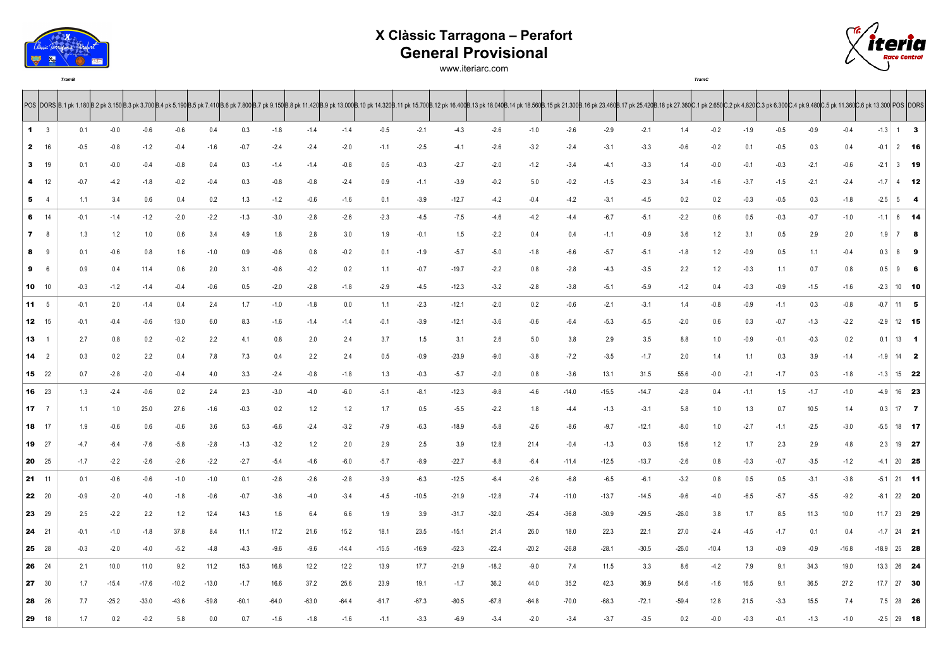

## **X Clàssic Tarragona – Perafort General Provisional**

*TramB TramC*





POS |DORS |B.1 pk 1.180 B.2 pk 3.150 B.2 pk 3.150 B.3 pk 3.700 B.4 pk 5.190 B.5 pk 7.410 B.6 pk 7.800 B.7 pk 9.150 B.8 pk 11.420 B.9 pk 13.000 B.10 pk 14.320 B.11 pk 15.700 B.12 pk 16.400 B.13 pk 18.040 B.13 pk 18.040 B.13 3 0.1 -0.0 -0.6 -0.6 0.4 0.3 -1.8 -1.4 -1.4 -0.5 -2.1 -4.3 -2.6 -1.0 -2.6 -2.9 -2.1 1.4 -0.2 -1.9 -0.5 -0.9 -0.4 -1.3 1 **3** 16 -0.5 -0.8 -1.2 -0.4 -1.6 -0.7 -2.4 -2.4 -2.0 -1.1 -2.5 -4.1 -2.6 -3.2 -2.4 -3.1 -3.3 -0.6 -0.2 0.1 -0.5 0.3 0.4 -0.1 2 **16** 19 0.1 -0.0 -0.4 -0.8 0.4 0.3 -1.4 -1.4 -0.8 0.5 -0.3 -2.7 -2.0 -1.2 -3.4 -4.1 -3.3 1.4 -0.0 -0.1 -0.3 -2.1 -0.6 -2.1 3 **19** 12 -0.7 -4.2 -1.8 -0.2 -0.4 0.3 -0.8 -0.8 -2.4 0.9 -1.1 -3.9 -0.2 5.0 -0.2 -1.5 -2.3 3.4 -1.6 -3.7 -1.5 -2.1 -2.4 -1.7 4 **12** 4 1.1 3.4 0.6 0.4 0.2 1.3 -1.2 -0.6 -1.6 0.1 -3.9 -12.7 -4.2 -0.4 -4.2 -3.1 -4.5 0.2 0.2 -0.3 -0.5 0.3 -1.8 -2.5 5 **4** 14 -0.1 -1.4 -1.2 -2.0 -2.2 -1.3 -3.0 -2.8 -2.6 -2.3 -4.5 -7.5 -4.6 -4.2 -4.4 -6.7 -5.1 -2.2 0.6 0.5 -0.3 -0.7 -1.0 -1.1 6 **14** 8 1.3 1.2 1.0 0.6 3.4 4.9 1.8 2.8 3.0 1.9 -0.1 1.5 -2.2 0.4 0.4 -1.1 -0.9 3.6 1.2 3.1 0.5 2.9 2.0 1.9 7 **8** 9 0.1 -0.6 0.8 1.6 -1.0 0.9 -0.6 0.8 -0.2 0.1 -1.9 -5.7 -5.0 -1.8 -6.6 -5.7 -5.1 -1.8 1.2 -0.9 0.5 1.1 -0.4 0.3 8 **9** 6 0.9 0.4 11.4 0.6 2.0 3.1 -0.6 -0.2 0.2 1.1 -0.7 -19.7 -2.2 0.8 -2.8 -4.3 -3.5 2.2 1.2 -0.3 1.1 0.7 0.8 0.5 9 **6** 10 -0.3 -1.2 -1.4 -0.4 -0.6 0.5 -2.0 -2.8 -1.8 -2.9 -4.5 -12.3 -3.2 -2.8 -3.8 -5.1 -5.9 -1.2 0.4 -0.3 -0.9 -1.5 -1.6 -2.3 10 **10** 5 -0.1 2.0 -1.4 0.4 2.4 1.7 -1.0 -1.8 0.0 1.1 -2.3 -12.1 -2.0 0.2 -0.6 -2.1 -3.1 1.4 -0.8 -0.9 -1.1 0.3 -0.8 -0.7 11 **5** 15 -0.1 -0.4 -0.6 13.0 6.0 8.3 -1.6 -1.4 -1.4 -0.1 -3.9 -12.1 -3.6 -0.6 -6.4 -5.3 -5.5 -2.0 0.6 0.3 -0.7 -1.3 -2.2 -2.9 12 **15** 1 2.7 0.8 0.2 -0.2 2.2 4.1 0.8 2.0 2.4 3.7 1.5 3.1 2.6 5.0 3.8 2.9 3.5 8.8 1.0 -0.9 -0.1 -0.3 0.2 0.1 13 **1** 2 0.3 0.2 2.2 0.4 7.8 7.3 0.4 2.2 2.4 0.5 -0.9 -23.9 -9.0 -3.8 -7.2 -3.5 -1.7 2.0 1.4 1.1 0.3 3.9 -1.4 -1.9 14 **2** 22 0.7 -2.8 -2.0 -0.4 4.0 3.3 -2.4 -0.8 -1.8 1.3 -0.3 -5.7 -2.0 0.8 -3.6 13.1 31.5 55.6 -0.0 -2.1 -1.7 0.3 -1.8 -1.3 15 **22** 23 1.3 -2.4 -0.6 0.2 2.4 2.3 -3.0 -4.0 -6.0 -5.1 -8.1 -12.3 -9.8 -4.6 -14.0 -15.5 -14.7 -2.8 0.4 -1.1 1.5 -1.7 -1.0 -4.9 16 **23** 7 1.1 1.0 25.0 27.6 -1.6 -0.3 0.2 1.2 1.2 1.7 0.5 -5.5 -2.2 1.8 -4.4 -1.3 -3.1 5.8 1.0 1.3 0.7 10.5 1.4 0.3 17 **7** 17 1.9 -0.6 0.6 -0.6 3.6 5.3 -6.6 -2.4 -3.2 -7.9 -6.3 -18.9 -5.8 -2.6 -8.6 -9.7 -12.1 -8.0 1.0 -2.7 -1.1 -2.5 -3.0 -5.5 18 **17** 27 -4.7 -6.4 -7.6 -5.8 -2.8 -1.3 -3.2 1.2 2.0 2.9 2.5 3.9 12.8 21.4 -0.4 -1.3 0.3 15.6 1.2 1.7 2.3 2.9 4.8 2.3 19 **27** 25 -1.7 -2.2 -2.6 -2.6 -2.2 -2.7 -5.4 -4.6 -6.0 -5.7 -8.9 -22.7 -8.8 -6.4 -11.4 -12.5 -13.7 -2.6 0.8 -0.3 -0.7 -3.5 -1.2 -4.1 20 **25** 11 0.1 -0.6 -0.6 -1.0 -1.0 0.1 -2.6 -2.6 -2.8 -3.9 -6.3 -12.5 -6.4 -2.6 -6.8 -6.5 -6.1 -3.2 0.8 0.5 0.5 -3.1 -3.8 -5.1 21 **11** 20 -0.9 -2.0 -4.0 -1.8 -0.6 -0.7 -3.6 -4.0 -3.4 -4.5 -10.5 -21.9 -12.8 -7.4 -11.0 -13.7 -14.5 -9.6 -4.0 -6.5 -5.7 -5.5 -9.2 -8.1 22 **20** 29 2.5 -2.2 2.2 1.2 12.4 14.3 1.6 6.4 6.6 1.9 3.9 -31.7 -32.0 -25.4 -36.8 -30.9 -29.5 -26.0 3.8 1.7 8.5 11.3 10.0 11.7 23 **29** 21 -0.1 -1.0 -1.8 37.8 8.4 11.1 17.2 21.6 15.2 18.1 23.5 -15.1 21.4 26.0 18.0 22.3 22.1 27.0 -2.4 -4.5 -1.7 0.1 0.4 -1.7 24 **21** 28 -0.3 -2.0 -4.0 -5.2 -4.8 -4.3 -9.6 -9.6 -14.4 -15.5 -16.9 -52.3 -22.4 -20.2 -26.8 -28.1 -30.5 -26.0 -10.4 1.3 -0.9 -0.9 -16.8 -18.9 25 **28** 24 2.1 10.0 11.0 9.2 11.2 15.3 16.8 12.2 12.2 13.9 17.7 -21.9 -18.2 -9.0 7.4 11.5 3.3 8.6 -4.2 7.9 9.1 34.3 19.0 13.3 26 **24** 30 1.7 -15.4 -17.6 -10.2 -13.0 -1.7 16.6 37.2 25.6 23.9 19.1 -1.7 36.2 44.0 35.2 42.3 36.9 54.6 -1.6 16.5 9.1 36.5 27.2 17.7 27 **30** 26 7.7 -25.2 -33.0 -43.6 -59.8 -60.1 -64.0 -63.0 -64.4 -61.7 -67.3 -80.5 -67.8 -64.8 -70.0 -68.3 -72.1 -59.4 12.8 21.5 -3.3 15.5 7.4 7.5 28 **26** 18 1.7 0.2 -0.2 5.8 0.0 0.7 -1.6 -1.8 -1.6 -1.1 -3.3 -6.9 -3.4 -2.0 -3.4 -3.7 -3.5 0.2 -0.0 -0.3 -0.1 -1.3 -1.0 -2.5 29 **18**